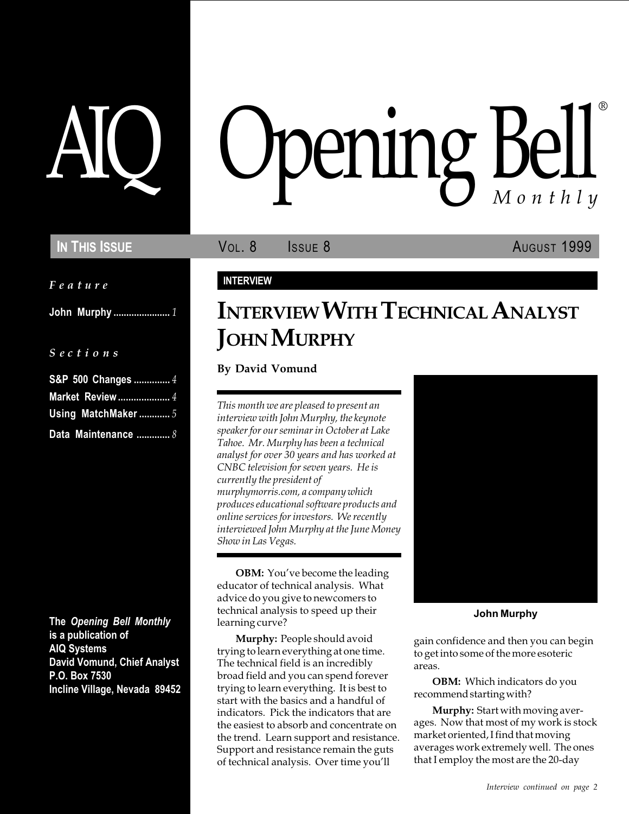Feature

John Murphy ...................... 1

#### S e c t i o n s

| S&P 500 Changes  4      |
|-------------------------|
| <b>Market Review </b> 4 |
| Using MatchMaker  5     |
| Data Maintenance  8     |

The Opening Bell Monthly is a publication of AIQ Systems David Vomund, Chief Analyst P.O. Box 7530 Incline Village, Nevada 89452

# pening Bell ®

IN THIS ISSUE **VOL. 8** ISSUE 8 AUGUST 1999

## INTERVIEW

# INTERVIEW WITH TECHNICAL ANALYST **JOHN MURPHY**

By David Vomund

This month we are pleased to present an interview with John Murphy, the keynote speaker for our seminar in October at Lake Tahoe. Mr. Murphy has been a technical analyst for over 30 years and has worked at CNBC television for seven years. He is currently the president of murphymorris.com, a company which produces educational software products and online services for investors. We recently interviewed John Murphy at the June Money Show in Las Vegas.

**OBM:** You've become the leading educator of technical analysis. What advice do you give to newcomers to technical analysis to speed up their learning curve?

Murphy: People should avoid trying to learn everything at one time. The technical field is an incredibly broad field and you can spend forever trying to learn everything. It is best to start with the basics and a handful of indicators. Pick the indicators that are the easiest to absorb and concentrate on the trend. Learn support and resistance. Support and resistance remain the guts of technical analysis. Over time you'll



John Murphy

gain confidence and then you can begin to get into some of the more esoteric areas.

OBM: Which indicators do you recommend starting with?

Murphy: Start with moving averages. Now that most of my work is stock market oriented, I find that moving averages work extremely well. The ones that I employ the most are the 20-day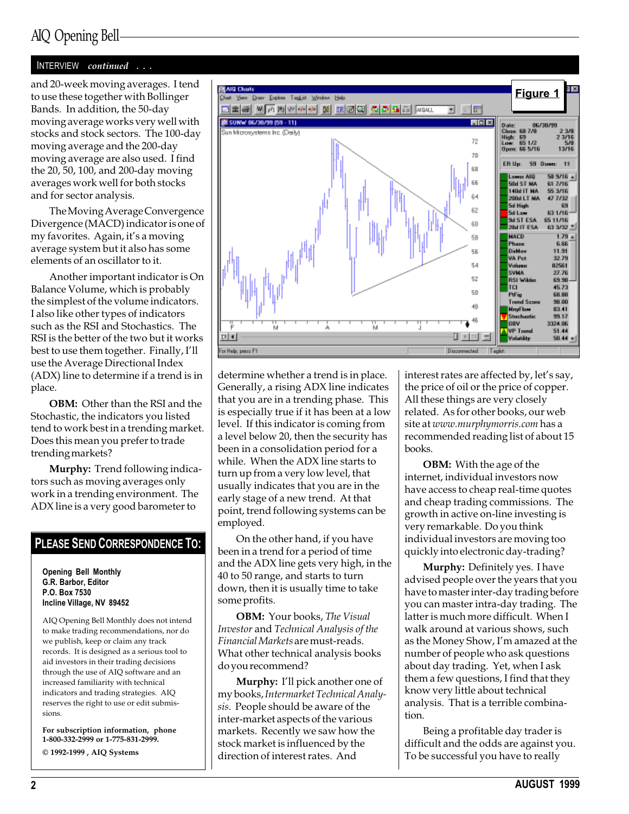#### INTERVIEW continued . . .

to use these together with Bollinger Bands. In addition, the 50-day moving average works very well with stocks and stock sectors. The 100-day moving average and the 200-day moving average are also used. I find the 20, 50, 100, and 200-day moving averages work well for both stocks and for sector analysis.

The Moving Average Convergence Divergence (MACD) indicator is one of my favorites. Again, it's a moving average system but it also has some elements of an oscillator to it.

Another important indicator is On Balance Volume, which is probably the simplest of the volume indicators. I also like other types of indicators such as the RSI and Stochastics. The RSI is the better of the two but it works best to use them together. Finally, I'll use the Average Directional Index (ADX) line to determine if a trend is in place.

OBM: Other than the RSI and the Stochastic, the indicators you listed tend to work best in a trending market. Does this mean you prefer to trade trending markets?

Murphy: Trend following indicators such as moving averages only work in a trending environment. The ADX line is a very good barometer to

#### PLEASE SEND CORRESPONDENCE TO:

Opening Bell Monthly G.R. Barbor, Editor P.O. Box 7530 Incline Village, NV 89452

AIQ Opening Bell Monthly does not intend to make trading recommendations, nor do we publish, keep or claim any track records. It is designed as a serious tool to aid investors in their trading decisions through the use of AIQ software and an increased familiarity with technical indicators and trading strategies. AIQ reserves the right to use or edit submissions.

For subscription information, phone 1-800-332-2999 or 1-775-831-2999. © 1992-1999 , AIQ Systems



determine whether a trend is in place. Generally, a rising ADX line indicates that you are in a trending phase. This is especially true if it has been at a low level. If this indicator is coming from a level below 20, then the security has been in a consolidation period for a while. When the ADX line starts to turn up from a very low level, that usually indicates that you are in the early stage of a new trend. At that point, trend following systems can be employed.

On the other hand, if you have been in a trend for a period of time and the ADX line gets very high, in the 40 to 50 range, and starts to turn down, then it is usually time to take some profits.

OBM: Your books, The Visual Investor and Technical Analysis of the Financial Markets are must-reads. What other technical analysis books do you recommend?

Murphy: I'll pick another one of my books, Intermarket Technical Analysis. People should be aware of the inter-market aspects of the various markets. Recently we saw how the stock market is influenced by the direction of interest rates. And

interest rates are affected by, let's say, the price of oil or the price of copper. All these things are very closely related. As for other books, our web site at www.murphymorris.com has a recommended reading list of about 15 books.

**OBM:** With the age of the internet, individual investors now have access to cheap real-time quotes and cheap trading commissions. The growth in active on-line investing is very remarkable. Do you think individual investors are moving too quickly into electronic day-trading?

Murphy: Definitely yes. I have advised people over the years that you have to master inter-day trading before you can master intra-day trading. The latter is much more difficult. When I walk around at various shows, such as the Money Show, I'm amazed at the number of people who ask questions about day trading. Yet, when I ask them a few questions, I find that they know very little about technical analysis. That is a terrible combination.

Being a profitable day trader is difficult and the odds are against you. To be successful you have to really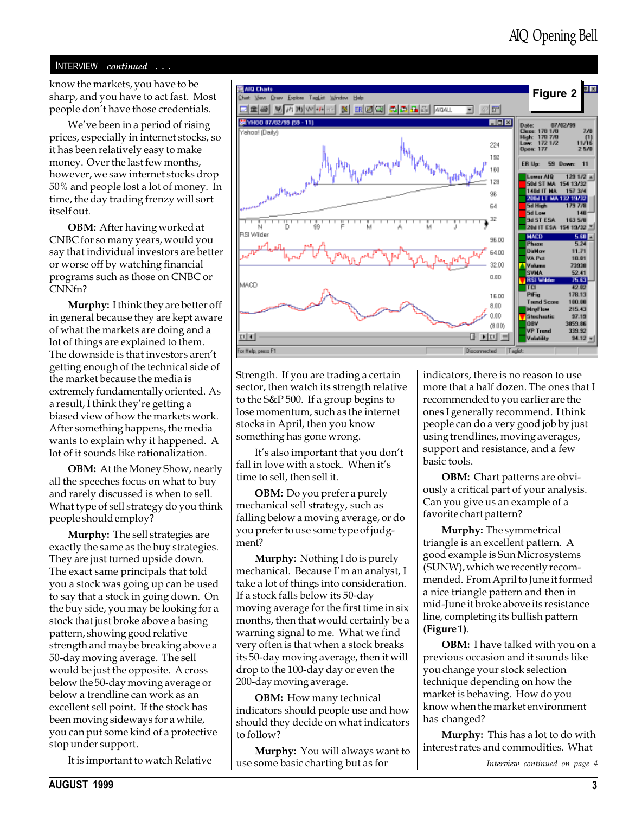#### INTERVIEW continued . . .

sharp, and you have to act fast. Most people don't have those credentials.

We've been in a period of rising prices, especially in internet stocks, so it has been relatively easy to make money. Over the last few months, however, we saw internet stocks drop 50% and people lost a lot of money. In time, the day trading frenzy will sort itself out.

OBM: After having worked at CNBC for so many years, would you say that individual investors are better or worse off by watching financial programs such as those on CNBC or CNNfn?

Murphy: I think they are better off in general because they are kept aware of what the markets are doing and a lot of things are explained to them. The downside is that investors aren't getting enough of the technical side of the market because the media is extremely fundamentally oriented. As a result, I think they're getting a biased view of how the markets work. After something happens, the media wants to explain why it happened. A lot of it sounds like rationalization.

OBM: At the Money Show, nearly all the speeches focus on what to buy and rarely discussed is when to sell. What type of sell strategy do you think people should employ?

Murphy: The sell strategies are exactly the same as the buy strategies. They are just turned upside down. The exact same principals that told you a stock was going up can be used to say that a stock in going down. On the buy side, you may be looking for a stock that just broke above a basing pattern, showing good relative strength and maybe breaking above a 50-day moving average. The sell would be just the opposite. A cross below the 50-day moving average or below a trendline can work as an excellent sell point. If the stock has been moving sideways for a while, you can put some kind of a protective stop under support.

It is important to watch Relative



Strength. If you are trading a certain sector, then watch its strength relative to the S&P 500. If a group begins to lose momentum, such as the internet stocks in April, then you know something has gone wrong.

It's also important that you don't fall in love with a stock. When it's time to sell, then sell it.

OBM: Do you prefer a purely mechanical sell strategy, such as falling below a moving average, or do you prefer to use some type of judgment?

Murphy: Nothing I do is purely mechanical. Because I'm an analyst, I take a lot of things into consideration. If a stock falls below its 50-day moving average for the first time in six months, then that would certainly be a warning signal to me. What we find very often is that when a stock breaks its 50-day moving average, then it will drop to the 100-day day or even the 200-day moving average.

**OBM:** How many technical indicators should people use and how should they decide on what indicators to follow?

Murphy: You will always want to use some basic charting but as for

indicators, there is no reason to use more that a half dozen. The ones that I recommended to you earlier are the ones I generally recommend. I think people can do a very good job by just using trendlines, moving averages, support and resistance, and a few basic tools.

OBM: Chart patterns are obviously a critical part of your analysis. Can you give us an example of a favorite chart pattern?

Murphy: The symmetrical triangle is an excellent pattern. A good example is Sun Microsystems (SUNW), which we recently recommended. From April to June it formed a nice triangle pattern and then in mid-June it broke above its resistance line, completing its bullish pattern (Figure 1).

OBM: I have talked with you on a previous occasion and it sounds like you change your stock selection technique depending on how the market is behaving. How do you know when the market environment has changed?

Murphy: This has a lot to do with interest rates and commodities. What

Interview continued on page 4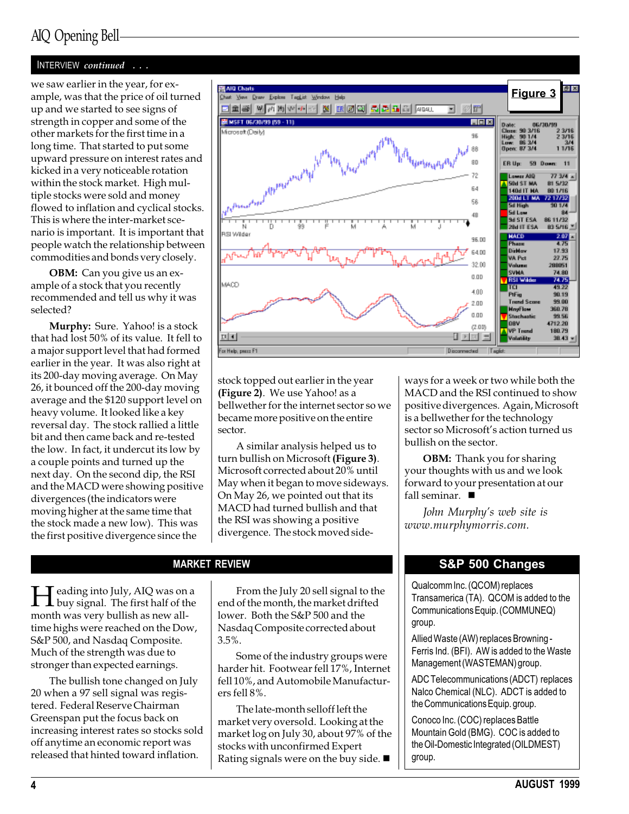#### INTERVIEW continued . . .

up and we started to see signs of strength in copper and some of the other markets for the first time in a long time. That started to put some upward pressure on interest rates and kicked in a very noticeable rotation within the stock market. High multiple stocks were sold and money flowed to inflation and cyclical stocks. This is where the inter-market scenario is important. It is important that people watch the relationship between commodities and bonds very closely.

**OBM:** Can you give us an example of a stock that you recently recommended and tell us why it was selected?

Murphy: Sure. Yahoo! is a stock that had lost 50% of its value. It fell to a major support level that had formed earlier in the year. It was also right at its 200-day moving average. On May 26, it bounced off the 200-day moving average and the \$120 support level on heavy volume. It looked like a key reversal day. The stock rallied a little bit and then came back and re-tested the low. In fact, it undercut its low by a couple points and turned up the next day. On the second dip, the RSI and the MACD were showing positive divergences (the indicators were moving higher at the same time that the stock made a new low). This was the first positive divergence since the



stock topped out earlier in the year (Figure 2). We use Yahoo! as a bellwether for the internet sector so we became more positive on the entire sector.

A similar analysis helped us to turn bullish on Microsoft (Figure 3). Microsoft corrected about 20% until May when it began to move sideways. On May 26, we pointed out that its MACD had turned bullish and that the RSI was showing a positive divergence. The stock moved side-

**Heading into July, AIQ was on a**<br>buy signal. The first half of the<br>month was your hyllich as gave all month was very bullish as new alltime highs were reached on the Dow, S&P 500, and Nasdaq Composite. Much of the strength was due to stronger than expected earnings.

The bullish tone changed on July 20 when a 97 sell signal was registered. Federal Reserve Chairman Greenspan put the focus back on increasing interest rates so stocks sold off anytime an economic report was released that hinted toward inflation.

From the July 20 sell signal to the end of the month, the market drifted lower. Both the S&P 500 and the Nasdaq Composite corrected about 3.5%.

Some of the industry groups were harder hit. Footwear fell 17%, Internet fell 10%, and Automobile Manufacturers fell 8%.

The late-month selloff left the market very oversold. Looking at the market log on July 30, about 97% of the stocks with unconfirmed Expert Rating signals were on the buy side.  $\blacksquare$ 

ways for a week or two while both the MACD and the RSI continued to show positive divergences. Again, Microsoft is a bellwether for the technology sector so Microsoft's action turned us bullish on the sector.

OBM: Thank you for sharing your thoughts with us and we look forward to your presentation at our fall seminar.  $\blacksquare$ 

John Murphy's web site is www.murphymorris.com.

## MARKET REVIEW **SAP 500 Changes**

Qualcomm Inc. (QCOM) replaces Transamerica (TA). QCOM is added to the Communications Equip. (COMMUNEQ) group.

Allied Waste (AW) replaces Browning - Ferris Ind. (BFI). AW is added to the Waste Management (WASTEMAN) group.

ADC Telecommunications (ADCT) replaces Nalco Chemical (NLC). ADCT is added to the Communications Equip. group.

Conoco Inc. (COC) replaces Battle Mountain Gold (BMG). COC is added to the Oil-Domestic Integrated (OILDMEST) group.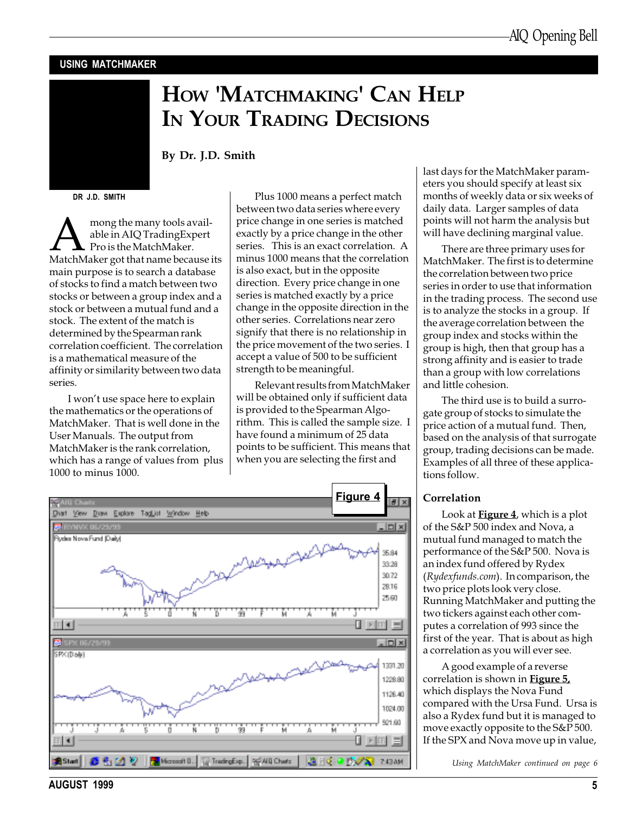#### USING MATCHMAKER

# HOW 'MATCHMAKING' CAN HELP IN YOUR TRADING DECISIONS

#### By Dr. J.D. Smith

DR J.D. SMITH

**A mong the many tools available in AIQ Trading Expert**<br>Pro is the MatchMaker.<br>MatchMaker got that name because its able in AIQ TradingExpert Pro is the MatchMaker. main purpose is to search a database of stocks to find a match between two stocks or between a group index and a stock or between a mutual fund and a stock. The extent of the match is determined by the Spearman rank correlation coefficient. The correlation is a mathematical measure of the affinity or similarity between two data series.

I won't use space here to explain the mathematics or the operations of MatchMaker. That is well done in the User Manuals. The output from MatchMaker is the rank correlation, which has a range of values from plus 1000 to minus 1000.

Plus 1000 means a perfect match between two data series where every price change in one series is matched exactly by a price change in the other series. This is an exact correlation. A minus 1000 means that the correlation is also exact, but in the opposite direction. Every price change in one series is matched exactly by a price change in the opposite direction in the other series. Correlations near zero signify that there is no relationship in the price movement of the two series. I accept a value of 500 to be sufficient strength to be meaningful.

Relevant results from MatchMaker will be obtained only if sufficient data is provided to the Spearman Algorithm. This is called the sample size. I have found a minimum of 25 data points to be sufficient. This means that when you are selecting the first and



last days for the MatchMaker parameters you should specify at least six months of weekly data or six weeks of daily data. Larger samples of data points will not harm the analysis but will have declining marginal value.

There are three primary uses for MatchMaker. The first is to determine the correlation between two price series in order to use that information in the trading process. The second use is to analyze the stocks in a group. If the average correlation between the group index and stocks within the group is high, then that group has a strong affinity and is easier to trade than a group with low correlations and little cohesion.

The third use is to build a surrogate group of stocks to simulate the price action of a mutual fund. Then, based on the analysis of that surrogate group, trading decisions can be made. Examples of all three of these applications follow.

#### Correlation

Look at **Figure 4**, which is a plot of the S&P 500 index and Nova, a mutual fund managed to match the performance of the S&P 500. Nova is an index fund offered by Rydex (Rydexfunds.com). In comparison, the two price plots look very close. Running MatchMaker and putting the two tickers against each other computes a correlation of 993 since the first of the year. That is about as high a correlation as you will ever see.

A good example of a reverse correlation is shown in Figure 5, which displays the Nova Fund compared with the Ursa Fund. Ursa is also a Rydex fund but it is managed to move exactly opposite to the S&P 500. If the SPX and Nova move up in value,

Using MatchMaker continued on page 6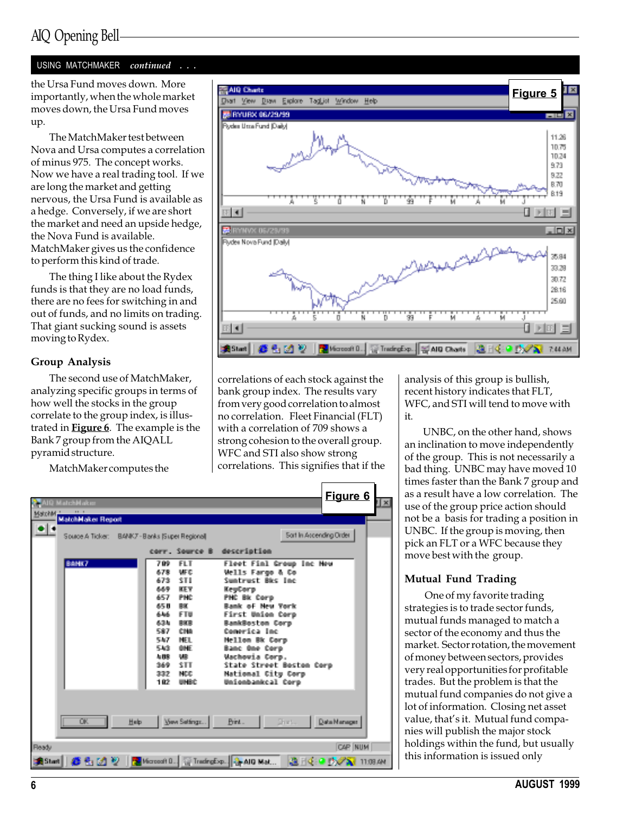#### USING MATCHMAKER continued . . .

the Ursa Fund moves down. More importantly, when the whole market moves down, the Ursa Fund moves up.

The MatchMaker test between Nova and Ursa computes a correlation of minus 975. The concept works. Now we have a real trading tool. If we are long the market and getting nervous, the Ursa Fund is available as a hedge. Conversely, if we are short the market and need an upside hedge, the Nova Fund is available. MatchMaker gives us the confidence to perform this kind of trade.

The thing I like about the Rydex funds is that they are no load funds, there are no fees for switching in and out of funds, and no limits on trading. That giant sucking sound is assets moving to Rydex.

#### Group Analysis

The second use of MatchMaker, analyzing specific groups in terms of how well the stocks in the group correlate to the group index, is illustrated in Figure 6. The example is the Bank 7 group from the AIQALL pyramid structure.

MatchMaker computes the



correlations of each stock against the bank group index. The results vary from very good correlation to almost no correlation. Fleet Financial (FLT) with a correlation of 709 shows a strong cohesion to the overall group. WFC and STI also show strong correlations. This signifies that if the



analysis of this group is bullish, recent history indicates that FLT, WFC, and STI will tend to move with it.

UNBC, on the other hand, shows an inclination to move independently of the group. This is not necessarily a bad thing. UNBC may have moved 10 times faster than the Bank 7 group and as a result have a low correlation. The use of the group price action should not be a basis for trading a position in UNBC. If the group is moving, then pick an FLT or a WFC because they move best with the group.

#### Mutual Fund Trading

 One of my favorite trading strategies is to trade sector funds, mutual funds managed to match a sector of the economy and thus the market. Sector rotation, the movement of money between sectors, provides very real opportunities for profitable trades. But the problem is that the mutual fund companies do not give a lot of information. Closing net asset value, that's it. Mutual fund companies will publish the major stock holdings within the fund, but usually this information is issued only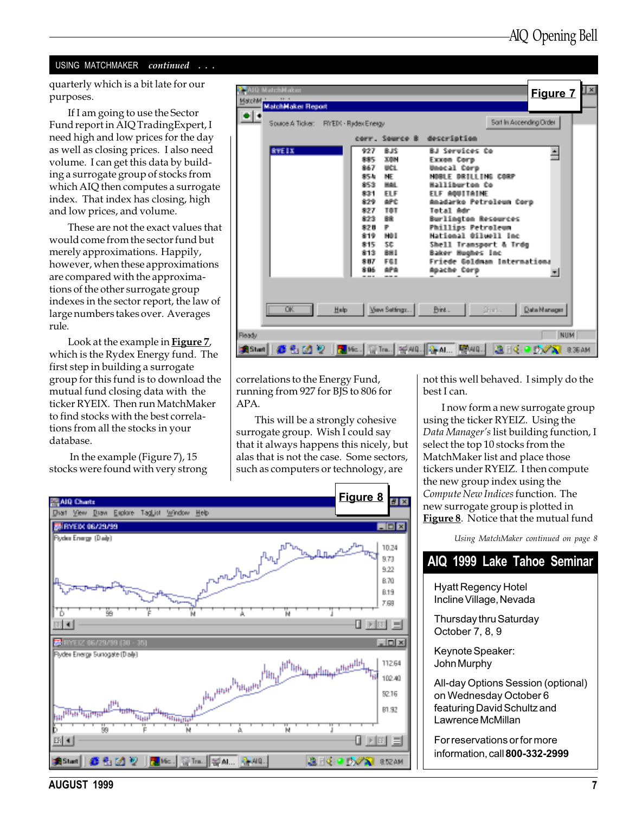#### USING MATCHMAKER continued . . .

quarterly which is a bit late for our purposes.

If I am going to use the Sector Fund report in AIQ TradingExpert, I need high and low prices for the day as well as closing prices. I also need volume. I can get this data by building a surrogate group of stocks from which AIQ then computes a surrogate index. That index has closing, high and low prices, and volume.

These are not the exact values that would come from the sector fund but merely approximations. Happily, however, when these approximations are compared with the approximations of the other surrogate group indexes in the sector report, the law of large numbers takes over. Averages rule.

Look at the example in Figure 7, which is the Rydex Energy fund. The first step in building a surrogate group for this fund is to download the mutual fund closing data with the ticker RYEIX. Then run MatchMaker to find stocks with the best correlations from all the stocks in your database.

 In the example (Figure 7), 15 stocks were found with very strong

| <b>STATO Matchelaker</b><br>Matribel<br>Matchieloker Resoul             |                                                                                                                                                                                                                                          | <b>Figure 7</b>                                                                                                                                                                                                                                                                                                                                       | fхI |
|-------------------------------------------------------------------------|------------------------------------------------------------------------------------------------------------------------------------------------------------------------------------------------------------------------------------------|-------------------------------------------------------------------------------------------------------------------------------------------------------------------------------------------------------------------------------------------------------------------------------------------------------------------------------------------------------|-----|
| $\bullet$<br>Source A Ticker: FMEDS - Ricter/Energy                     |                                                                                                                                                                                                                                          | Sait In Accending Order                                                                                                                                                                                                                                                                                                                               |     |
|                                                                         | corr, Source B. description                                                                                                                                                                                                              |                                                                                                                                                                                                                                                                                                                                                       |     |
| <b>RYTE IX</b>                                                          | 927<br>直接<br>医囊肿<br>最新な<br>UCL.<br>東京子<br>ME.<br>新聞<br>東海市<br>東京会<br>ET F.<br><b>图211</b><br>\$79.<br>APC.<br>生きす<br><b>TOT</b><br>東方像<br>職<br>卧。<br>変え目<br><b>MAI</b><br>全1巻<br>SE.<br>盘牛呢<br>\$13.<br>BH L<br>受賞す<br>医肾间<br>886<br>484 | Bill Severings: De-<br>Excess Corp.<br>Beautiful I<br><b>Corp.</b><br>LL THE CORP<br><b>CONTRACTOR</b><br>EL E.<br>Anadarko Petroleun Coro<br>Tehal Adr<br>Burlington Resources<br><b>Fhillips Fetroleum</b><br>Mational Ailmall<br><b>The Co</b><br>Shell Transport & Trdg<br>Baker Hughes Inc.<br>Friede Saldman International<br>Baache Cora<br>w. |     |
| OK.<br>Halp.                                                            | Yeve Settings                                                                                                                                                                                                                            | Print <sub>e</sub><br>Diretti<br>Data Manager                                                                                                                                                                                                                                                                                                         |     |
| Ready<br>anstant   66 名 21 22   Dall Ko.   Gilma.   Hol40.   Guat   昭40 |                                                                                                                                                                                                                                          | NUM<br>進展のある<br>8:36 AM                                                                                                                                                                                                                                                                                                                               |     |

correlations to the Energy Fund, running from 927 for BJS to 806 for APA.

This will be a strongly cohesive surrogate group. Wish I could say that it always happens this nicely, but alas that is not the case. Some sectors, such as computers or technology, are



not this well behaved. I simply do the best I can.

I now form a new surrogate group using the ticker RYEIZ. Using the Data Manager's list building function, I select the top 10 stocks from the MatchMaker list and place those tickers under RYEIZ. I then compute the new group index using the Compute New Indices function. The new surrogate group is plotted in Figure 8. Notice that the mutual fund

Using MatchMaker continued on page 8

### AIQ 1999 Lake Tahoe Seminar

Hyatt Regency Hotel Incline Village, Nevada

Thursday thru Saturday October 7, 8, 9

Keynote Speaker: John Murphy

All-day Options Session (optional) on Wednesday October 6 featuring David Schultz and Lawrence McMillan

For reservations or for more information, call 800-332-2999